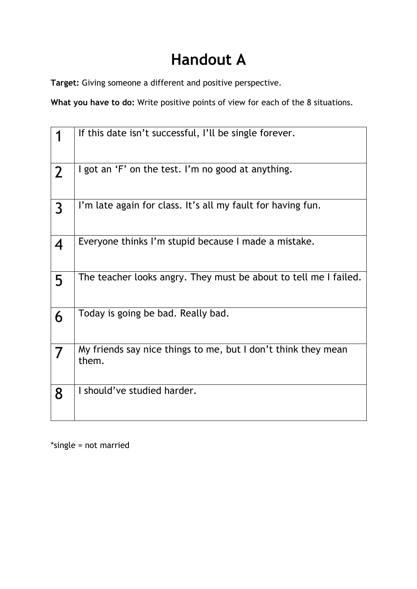## **Handout A**

**Target:** Giving someone a different and positive perspective.

What you have to do: Write positive points of view for each of the 8 situations.

|                | If this date isn't successful, I'll be single forever.                 |
|----------------|------------------------------------------------------------------------|
| $\overline{2}$ | I got an 'F' on the test. I'm no good at anything.                     |
| $\overline{3}$ | I'm late again for class. It's all my fault for having fun.            |
| 4              | Everyone thinks I'm stupid because I made a mistake.                   |
| 5              | The teacher looks angry. They must be about to tell me I failed.       |
| 6              | Today is going be bad. Really bad.                                     |
| 7              | My friends say nice things to me, but I don't think they mean<br>them. |
| 8              | I should've studied harder.                                            |

\*single = not married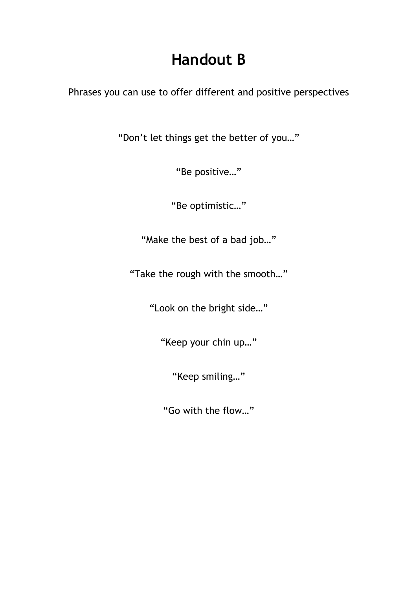## **Handout B**

Phrases you can use to offer different and positive perspectives

"Don't let things get the better of you…"

"Be positive…"

"Be optimistic…"

"Make the best of a bad job…"

"Take the rough with the smooth…"

"Look on the bright side…"

"Keep your chin up…"

"Keep smiling…"

"Go with the flow…"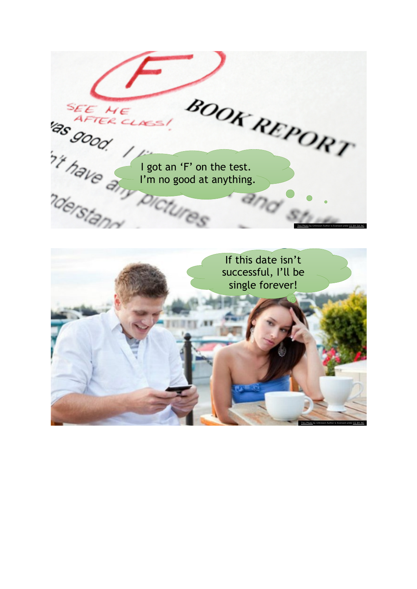SEE ME LINE! ORT SEE ME AFTER CLASS! I'm no good at anything.  $a_{nq}$ This Photo by Unknown Author is licensed under CC BY-SA-NC If this date isn't successful, I'll be single forever!

This Photo by Unknown Author is licensed under CC BY-NC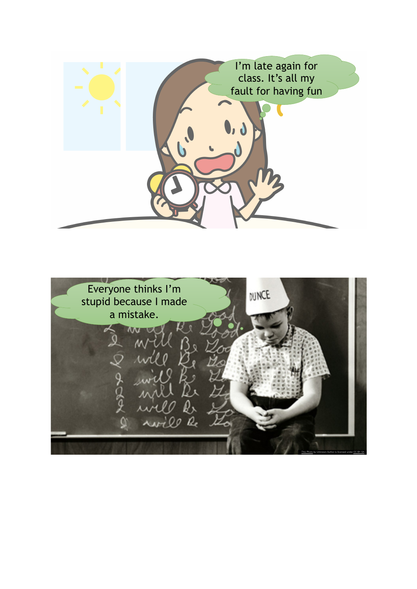

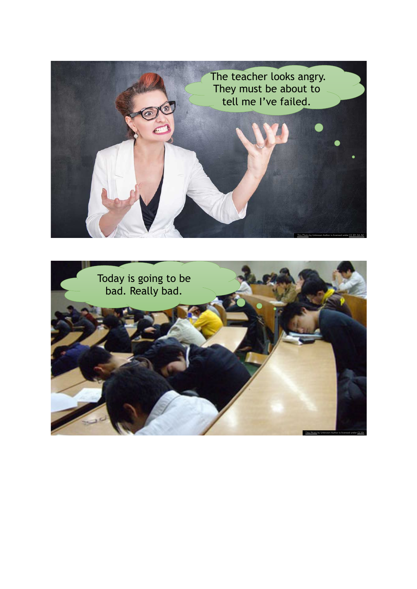